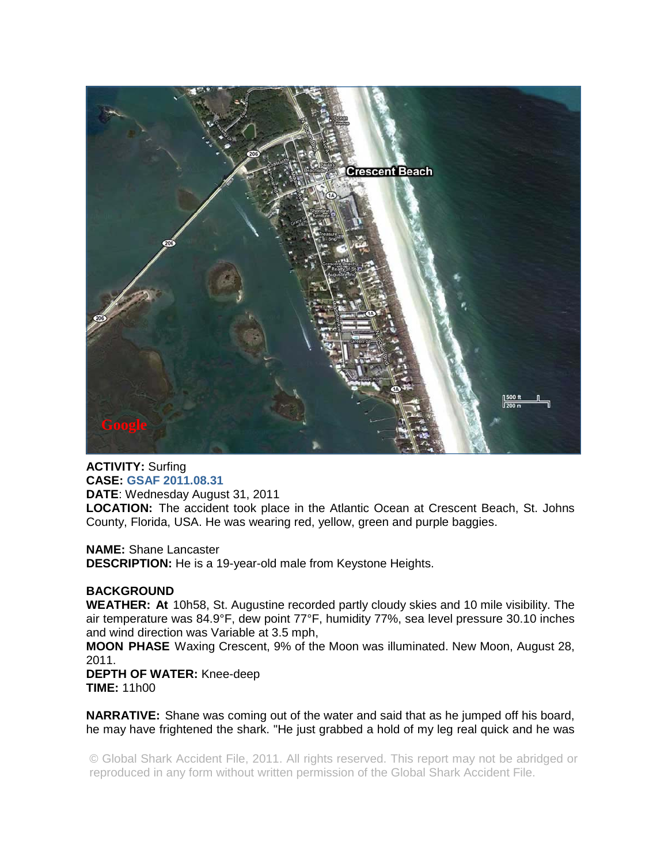

**ACTIVITY:** Surfing **CASE: GSAF 2011.08.31 DATE**: Wednesday August 31, 2011

**LOCATION:** The accident took place in the Atlantic Ocean at Crescent Beach, St. Johns County, Florida, USA. He was wearing red, yellow, green and purple baggies.

**NAME:** Shane Lancaster

**DESCRIPTION:** He is a 19-year-old male from Keystone Heights.

## **BACKGROUND**

**WEATHER: At** 10h58, St. Augustine recorded partly cloudy skies and 10 mile visibility. The air temperature was 84.9°F, dew point 77°F, humidity 77%, sea level pressure 30.10 inches and wind direction was Variable at 3.5 mph,

**MOON PHASE** Waxing Crescent, 9% of the Moon was illuminated. New Moon, August 28, 2011.

**DEPTH OF WATER:** Knee-deep **TIME:** 11h00

**NARRATIVE:** Shane was coming out of the water and said that as he jumped off his board, he may have frightened the shark. "He just grabbed a hold of my leg real quick and he was

© Global Shark Accident File, 2011. All rights reserved. This report may not be abridged or reproduced in any form without written permission of the Global Shark Accident File.